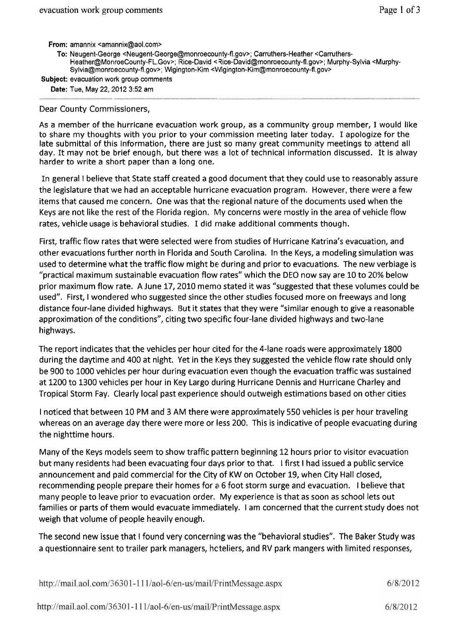**From:** amannix <amannix@aol.com>

- To: Neugent-George <Neugent-George@monroecounty-fl.gov>; Carruthers-Heather <Carruthers-Heather@MonroeCounty-FL.Gov>; Rice-David < Rice-David@monroecounty-fl.gov>; Murphy-Sylvia <Murphy-Sylvia@monroecounty-fl.gov>; Wigington-Kim ~VVigington-Kim@monroecounty-fl.gov>
- **Subject:** evacuation work group comments

Date: Tue, May 22, 2012 3:52 am

## Dear County Commissioners,

As a member of the hurricane evacuation work group, as a community group member, I would like to share my thoughts with you prior to your commission meeting later today. I apologize for the late submittal of this information, there are just so many great community meetings to attend all day. It may not be brief enough, but there was a lot of technical information discussed. It is alway harder to write a short paper than a long one.

In general I believe that State staff created a good document that they could use to reasonably assure the legislature that we had an acceptable hurricane evacuation program. However, there were a few items that caused me concern. One was that the regional nature of the documents used when the Keys are not like the rest of the Florida region. My concerns were mostly in the area of vehicle flow<br>rates, vehicle usage is behavioral studies. I did make additional comments though.

First, traffic flow rates that were selected were from studies of Hurricane Katrina's evacuation, and other evacuations further north in Florida and South Carolina. In the Keys, a modeling simulation was used to determine what the traffic flow might be during and prior to evacuations. The new verbiage is "practical maximum sustainable evacuation flow rates" which the DEO now say are 10 to 20% below prior maximum flow rate. A June 17, 2010 memo stated it was "suggested that these volumes could be used". First, I wondered who suggested since the other studies focused more on freeways and long distance four-lane divided highways. But it states that they were "similar enough to give a reasonable approximation of the conditions", citing two specific four-lane divided highways and two-lane highways.

The report indicates that the vehicles per hour cited for the 4-lane roads were approximately 1800 during the daytime and 400 at night. Yet in the Keys they suggested the vehicle flow rate should only be 900 to 1000 vehicles per hour during evacuation even though the evacuation traffic was sustained at 1200 to 1300 vehicles per hour in Key Largo during Hurricane Dennis and Hurricane Charley and Tropical Storm Fay. Clearly local past experience should outweigh estimations based on other cities

I noticed that between 10 PM and 3 AM there were approximately 550 vehicles is per hour traveling whereas on an average day there were more or less 200. This is indicative of people evacuating during the nighttime hours.

Many of the Keys models seem to show traffic pattern beginning 12 hours prior to visitor evacuation but many residents had been evacuating four days prior to that. I first I had issued a public service announcement and paid commercial for the City of KW on October 19, when City Hall closed, recommending people prepare their homes for a 6 foot storm surge and evacuation. I believe that many people to leave prior to evacuation order. My experience is that as soon as school lets out families or parts of them would evacuate immediately. I am concerned that the current study does not weigh that volume of people heavily enough.

The second new issue that **1** found very concerning was the "behavioral studies". The Baker Study was a questionnaire sent to trailer park managers, hcteliers, and RV park mangers with limited responses,

| http://mail.aol.com/36301-111/aol-6/en-us/mail/PrintMessage.aspx | 6/8/2012 |
|------------------------------------------------------------------|----------|
| http://mail.aol.com/36301-111/aol-6/en-us/mail/PrintMessage.aspx | 6/8/2012 |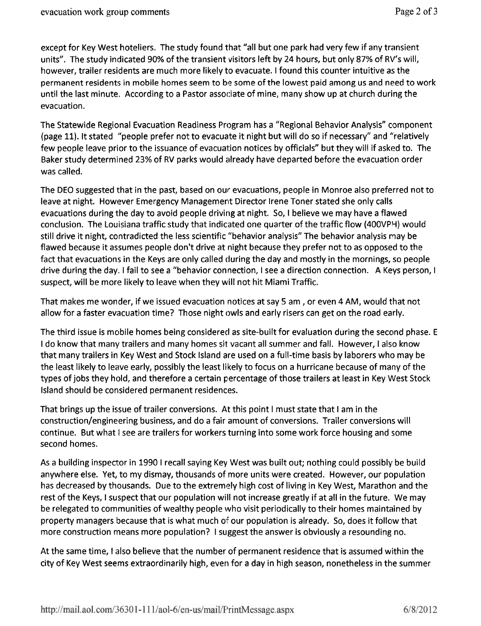except for Key West hoteliers. The study found that "all but one park had very few if any transient units". The study indicated 90% of the transient visitors left by 24 hours, but only 87% of RV's will, however, trailer residents are much more likely to evacuate. I found this counter intuitive as the permanent residents in mobile homes seem to be some of the lowest paid among us and need to work until the last minute. According to a Pastor associate of mine, many show up at church during the evacuation.

The Statewide Regional Evacuation Readiness Program has a "Regional Behavior Analysis" component (page 11). It stated "people prefer not to evacuate it night but will do so if necessary" and '"relatively few people leave prior to the issuance of evacuation notices by officials" but they will if asked to. The Baker study determined 23% of RV parks would already have departed before the evacuation order was called.

The DEO suggested that in the past, based on our evacuations, people in Monroe also preferred not to leave at night. However Emergency Management Director Irene Toner stated she only calls evacuations during the day to avoid people driving at night. So, I believe we may have a flawed conclusion. The Louisiana traffic study that indicated one quarter of the traffic flow (400VPH) would still drive it night, contradicted the less scientific "behavior analysis" The behavior analysis may be flawed because it assumes people don't drive at night because they prefer not to as opposed to the fact that evacuations in the Keys are only called during the day and mostly in the mornings, so people drive during the day. I fail to see a "behavior connection, I see a direction connection. A Keys person, I suspect, will be more likely to leave when they will not hit Miami Traffic.

That makes me wonder, if we issued evacuation notices at say 5 am, or even 4 AM, would that not allow for a faster evacuation time? Those night owls and early risers can get on the road early.

The third issue is mobile homes being considered as site-built for evaluation during the second phase. E I do know that many trailers and many homes sit vacant all summer and fall. However, I also know that many trailers in Key West and Stock Island are used on a full-time basis by laborers who may be the least likely to leave early, possibly the least likely to focus on a hurricane because of many of the types of jobs they hold, and therefore a certain percentage of those trailers at least in Key West Stock Island should be considered permanent residences.

That brings up the issue of trailer conversions. At this point I must state that I am in the construction/engineering business, and do a fair amount of conversions. Trailer conversions will continue. But what I see are trailers for workers turning into some work force housing and some second homes.

As a building inspector in 1990 1 recall saying Key West was built out; nothing could possibly be build anywhere else. Yet, to my dismay, thousands of more units were created. However, our population has decreased by thousands. Due to the extremely high cost of living in Key West, Marathon and the rest of the Keys, I suspect that our population will not increase greatly if at all in the future. We may be relegated to communities of wealthy people who visit periodically to their homes maintained by property managers because that is what much **OF** our population is already. So, does it follow that more construction means more population? I suggest the answer is obviously a resounding no.

At the same time, I also believe that the number of permanent residence that is assumed within the city of Key West seems extraordinarily high, ever) for a day in high season, nonetheless in the summer